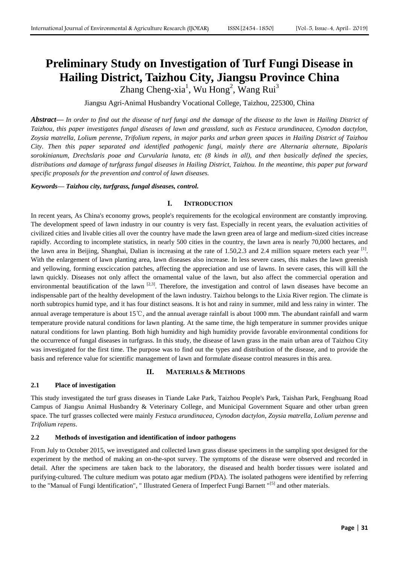# **Preliminary Study on Investigation of Turf Fungi Disease in Hailing District, Taizhou City, Jiangsu Province China**

Zhang Cheng-xia<sup>1</sup>, Wu Hong<sup>2</sup>, Wang Rui<sup>3</sup>

Jiangsu Agri-Animal Husbandry Vocational College, Taizhou, 225300, China

*Abstract***—** *In order to find out the disease of turf fungi and the damage of the disease to the lawn in Hailing District of Taizhou, this paper investigates fungal diseases of lawn and grassland, such as Festuca arundinacea, Cynodon dactylon, Zoysia matrella, Lolium perenne, Trifolium repens, in major parks and urban green spaces in Hailing District of Taizhou City. Then this paper separated and identified pathogenic fungi, mainly there are Alternaria alternate, Bipolaris sorokinianum, Drechslaris poae and Curvularia lunata, etc (8 kinds in all), and then basically defined the species, distributions and damage of turfgrass fungal diseases in Hailing District, Taizhou. In the meantime, this paper put forward specific proposals for the prevention and control of lawn diseases.*

*Keywords***—** *Taizhou city, turfgrass, fungal diseases, control.*

## **I. INTRODUCTION**

In recent years, As China's economy grows, people's requirements for the ecological environment are constantly improving. The development speed of lawn industry in our country is very fast. Especially in recent years, the evaluation activities of civilized cities and livable cities all over the country have made the lawn green area of large and medium-sized cities increase rapidly. According to incomplete statistics, in nearly 500 cities in the country, the lawn area is nearly 70,000 hectares, and the lawn area in Beijing, Shanghai, Dalian is increasing at the rate of 1.50,2.3 and 2.4 million square meters each year  $^{[1]}$ . With the enlargement of lawn planting area, lawn diseases also increase. In less severe cases, this makes the lawn greenish and yellowing, forming exsciccation patches, affecting the appreciation and use of lawns. In severe cases, this will kill the lawn quickly. Diseases not only affect the ornamental value of the lawn, but also affect the commercial operation and environmental beautification of the lawn  $[2,3]$ . Therefore, the investigation and control of lawn diseases have become an indispensable part of the healthy development of the lawn industry. Taizhou belongs to the Lixia River region. The climate is north subtropics humid type, and it has four distinct seasons. It is hot and rainy in summer, mild and less rainy in winter. The annual average temperature is about 15℃, and the annual average rainfall is about 1000 mm. The abundant rainfall and warm temperature provide natural conditions for lawn planting. At the same time, the high temperature in summer provides unique natural conditions for lawn planting. Both high humidity and high humidity provide favorable environmental conditions for the occurrence of fungal diseases in turfgrass. In this study, the disease of lawn grass in the main urban area of Taizhou City was investigated for the first time. The purpose was to find out the types and distribution of the disease, and to provide the basis and reference value for scientific management of lawn and formulate disease control measures in this area.

## **II. MATERIALS & METHODS**

## **2.1 Place of investigation**

This study investigated the turf grass diseases in Tiande Lake Park, Taizhou People's Park, Taishan Park, Fenghuang Road Campus of Jiangsu Animal Husbandry & Veterinary College, and Municipal Government Square and other urban green space. The turf grasses collected were mainly *Festuca arundinacea*, *Cynodon dactylon*, *Zoysia matrella*, *Lolium perenne* and *Trifolium repens*.

## **2.2 Methods of investigation and identification of indoor pathogens**

From July to October 2015, we investigated and collected lawn grass disease specimens in the sampling spot designed for the experiment by the method of making an on-the-spot survey. The symptoms of the disease were observed and recorded in detail. After the specimens are taken back to the laboratory, the diseased and health border tissues were isolated and purifying-cultured. The culture medium was potato agar medium (PDA). The isolated pathogens were identified by referring to the "Manual of Fungi Identification", " Illustrated Genera of Imperfect Fungi Barnett "<sup>[5]</sup> and other materials.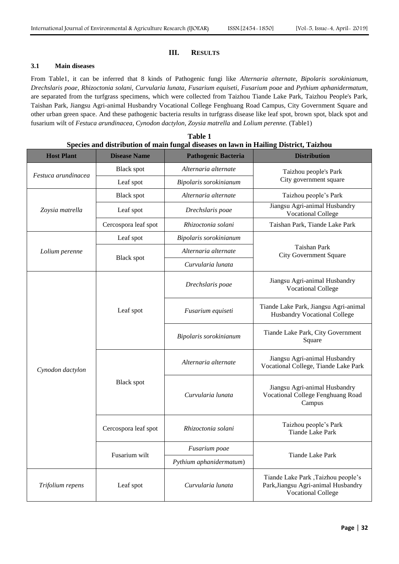## **III. RESULTS**

## **3.1 Main diseases**

From Table1, it can be inferred that 8 kinds of Pathogenic fungi like *Alternaria alternate, Bipolaris sorokinianum, Drechslaris poae, Rhizoctonia solani, Curvularia lunata, Fusarium equiseti, Fusarium poae* and *Pythium aphanidermatum,*  are separated from the turfgrass specimens, which were collected from Taizhou Tiande Lake Park, Taizhou People's Park, Taishan Park, Jiangsu Agri-animal Husbandry Vocational College Fenghuang Road Campus, City Government Square and other urban green space. And these pathogenic bacteria results in turfgrass disease like leaf spot, brown spot, black spot and fusarium wilt of *Festuca arundinacea, Cynodon dactylon, Zoysia matrella* and *Lolium perenne.* (Table1)

|                     |                      | Species and distribution of main fungal diseases on lawn in Hailing District, Taiznou |                                                                                                         |  |
|---------------------|----------------------|---------------------------------------------------------------------------------------|---------------------------------------------------------------------------------------------------------|--|
| <b>Host Plant</b>   | <b>Disease Name</b>  | <b>Pathogenic Bacteria</b>                                                            | <b>Distribution</b>                                                                                     |  |
| Festuca arundinacea | <b>Black spot</b>    | Alternaria alternate                                                                  | Taizhou people's Park<br>City government square                                                         |  |
|                     | Leaf spot            | Bipolaris sorokinianum                                                                |                                                                                                         |  |
| Zoysia matrella     | <b>Black spot</b>    | Alternaria alternate                                                                  | Taizhou people's Park                                                                                   |  |
|                     | Leaf spot            | Drechslaris poae                                                                      | Jiangsu Agri-animal Husbandry<br><b>Vocational College</b>                                              |  |
|                     | Cercospora leaf spot | Rhizoctonia solani                                                                    | Taishan Park, Tiande Lake Park                                                                          |  |
| Lolium perenne      | Leaf spot            | Bipolaris sorokinianum                                                                |                                                                                                         |  |
|                     |                      | Alternaria alternate                                                                  | Taishan Park<br><b>City Government Square</b>                                                           |  |
|                     | <b>Black spot</b>    | Curvularia lunata                                                                     |                                                                                                         |  |
| Cynodon dactylon    |                      | Drechslaris poae                                                                      | Jiangsu Agri-animal Husbandry<br><b>Vocational College</b>                                              |  |
|                     | Leaf spot            | Fusarium equiseti                                                                     | Tiande Lake Park, Jiangsu Agri-animal<br>Husbandry Vocational College                                   |  |
|                     |                      | Bipolaris sorokinianum                                                                | Tiande Lake Park, City Government<br>Square                                                             |  |
|                     |                      | Alternaria alternate                                                                  | Jiangsu Agri-animal Husbandry<br>Vocational College, Tiande Lake Park                                   |  |
|                     | <b>Black spot</b>    | Curvularia lunata                                                                     | Jiangsu Agri-animal Husbandry<br>Vocational College Fenghuang Road<br>Campus                            |  |
|                     | Cercospora leaf spot | Rhizoctonia solani                                                                    | Taizhou people's Park<br><b>Tiande Lake Park</b>                                                        |  |
|                     |                      | Fusarium poae                                                                         |                                                                                                         |  |
|                     | Fusarium wilt        | Pythium aphanidermatum)                                                               | <b>Tiande Lake Park</b>                                                                                 |  |
| Trifolium repens    | Leaf spot            | Curvularia lunata                                                                     | Tiande Lake Park , Taizhou people's<br>Park, Jiangsu Agri-animal Husbandry<br><b>Vocational College</b> |  |

| Table 1 |  |  |  |  |  |  |                                                                                       |  |  |
|---------|--|--|--|--|--|--|---------------------------------------------------------------------------------------|--|--|
|         |  |  |  |  |  |  | Species and distribution of main fungal diseases on lawn in Hailing District, Taizhou |  |  |
|         |  |  |  |  |  |  |                                                                                       |  |  |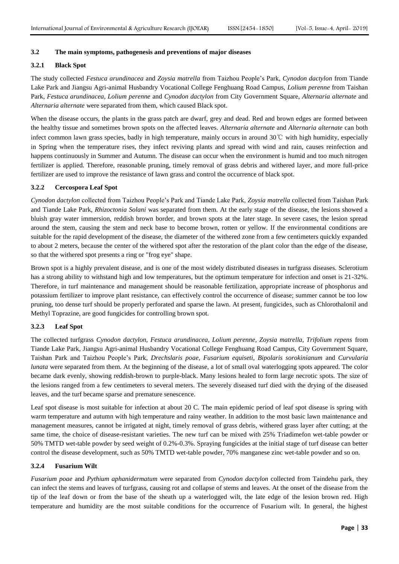### **3.2 The main symptoms, pathogenesis and preventions of major diseases**

# **3.2.1 Black Spot**

The study collected *Festuca arundinacea* and *Zoysia matrella* from Taizhou People's Park, *Cynodon dactylon* from Tiande Lake Park and Jiangsu Agri-animal Husbandry Vocational College Fenghuang Road Campus, *Lolium perenne* from Taishan Park, *Festuca arundinacea, Lolium perenne* and *Cynodon dactylon* from City Government Square, *Alternaria alternate* and *Alternaria alternate* were separated from them, which caused Black spot.

When the disease occurs, the plants in the grass patch are dwarf, grey and dead. Red and brown edges are formed between the healthy tissue and sometimes brown spots on the affected leaves. *Alternaria alternate* and *Alternaria alternate* can both infect common lawn grass species, badly in high temperature, mainly occurs in around 30℃ with high humidity, especially in Spring when the temperature rises, they infect reviving plants and spread with wind and rain, causes reinfection and happens continuously in Summer and Autumn. The disease can occur when the environment is humid and too much nitrogen fertilizer is applied. Therefore, reasonable pruning, timely removal of grass debris and withered layer, and more full-price fertilizer are used to improve the resistance of lawn grass and control the occurrence of black spot.

#### **3.2.2 Cercospora Leaf Spot**

*Cynodon dactylon* collected from Taizhou People's Park and Tiande Lake Park, *Zoysia matrella* collected from Taishan Park and Tiande Lake Park, *Rhizoctonia Solani* was separated from them. At the early stage of the disease, the lesions showed a bluish gray water immersion, reddish brown border, and brown spots at the later stage. In severe cases, the lesion spread around the stem, causing the stem and neck base to become brown, rotten or yellow. If the environmental conditions are suitable for the rapid development of the disease, the diameter of the withered zone from a few centimeters quickly expanded to about 2 meters, because the center of the withered spot after the restoration of the plant color than the edge of the disease, so that the withered spot presents a ring or "frog eye" shape.

Brown spot is a highly prevalent disease, and is one of the most widely distributed diseases in turfgrass diseases. Sclerotium has a strong ability to withstand high and low temperatures, but the optimum temperature for infection and onset is 21-32%. Therefore, in turf maintenance and management should be reasonable fertilization, appropriate increase of phosphorus and potassium fertilizer to improve plant resistance, can effectively control the occurrence of disease; summer cannot be too low pruning, too dense turf should be properly perforated and sparse the lawn. At present, fungicides, such as Chlorothalonil and Methyl Toprazine, are good fungicides for controlling brown spot.

### **3.2.3 Leaf Spot**

The collected turfgrass *Cynodon dactylon, Festuca arundinacea, Lolium perenne, Zoysia matrella, Trifolium repens* from Tiande Lake Park, Jiangsu Agri-animal Husbandry Vocational College Fenghuang Road Campus, City Government Square, Taishan Park and Taizhou People's Park, *Drechslaris poae, Fusarium equiseti, Bipolaris sorokinianum* and *Curvularia lunata* were separated from them. At the beginning of the disease, a lot of small oval waterlogging spots appeared. The color became dark evenly, showing reddish-brown to purple-black. Many lesions healed to form large necrotic spots. The size of the lesions ranged from a few centimeters to several meters. The severely diseased turf died with the drying of the diseased leaves, and the turf became sparse and premature senescence.

Leaf spot disease is most suitable for infection at about 20 C. The main epidemic period of leaf spot disease is spring with warm temperature and autumn with high temperature and rainy weather. In addition to the most basic lawn maintenance and management measures, cannot be irrigated at night, timely removal of grass debris, withered grass layer after cutting; at the same time, the choice of disease-resistant varieties. The new turf can be mixed with 25% Triadimefon wet-table powder or 50% TMTD wet-table powder by seed weight of 0.2%-0.3%. Spraying fungicides at the initial stage of turf disease can better control the disease development, such as 50% TMTD wet-table powder, 70% manganese zinc wet-table powder and so on.

#### **3.2.4 Fusarium Wilt**

*Fusarium poae* and *Pythium aphanidermatum* were separated from *Cynodon dactylon* collected from Taindehu park, they can infect the stems and leaves of turfgrass, causing rot and collapse of stems and leaves. At the onset of the disease from the tip of the leaf down or from the base of the sheath up a waterlogged wilt, the late edge of the lesion brown red. High temperature and humidity are the most suitable conditions for the occurrence of Fusarium wilt. In general, the highest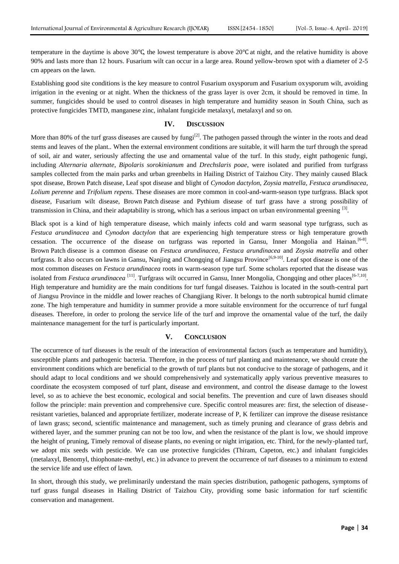temperature in the daytime is above 30℃, the lowest temperature is above 20℃ at night, and the relative humidity is above 90% and lasts more than 12 hours. Fusarium wilt can occur in a large area. Round yellow-brown spot with a diameter of 2-5 cm appears on the lawn.

Establishing good site conditions is the key measure to control Fusarium oxysporum and Fusarium oxysporum wilt, avoiding irrigation in the evening or at night. When the thickness of the grass layer is over 2cm, it should be removed in time. In summer, fungicides should be used to control diseases in high temperature and humidity season in South China, such as protective fungicides TMTD, manganese zinc, inhalant fungicide metalaxyl, metalaxyl and so on.

#### **IV. DISCUSSION**

More than 80% of the turf grass diseases are caused by fungi<sup>[2]</sup>. The pathogen passed through the winter in the roots and dead stems and leaves of the plant.. When the external environment conditions are suitable, it will harm the turf through the spread of soil, air and water, seriously affecting the use and ornamental value of the turf. In this study, eight pathogenic fungi, including *Alternaria alternate*, *Bipolaris sorokinianum* and *Drechslaris poae*, were isolated and purified from turfgrass samples collected from the main parks and urban greenbelts in Hailing District of Taizhou City. They mainly caused Black spot disease, Brown Patch disease, Leaf spot disease and blight of *Cynodon dactylon*, *Zoysia matrella*, *Festuca arundinacea*, *Lolium perenne* and *Trifolium repens*. These diseases are more common in cool-and-warm-season type turfgrass. Black spot disease, Fusarium wilt disease, Brown Patch disease and Pythium disease of turf grass have a strong possibility of transmission in China, and their adaptability is strong, which has a serious impact on urban environmental greening [3].

Black spot is a kind of high temperature disease, which mainly infects cold and warm seasonal type turfgrass, such as *Festuca arundinacea* and *Cynodon dactylon* that are experiencing high temperature stress or high temperature growth cessation. The occurrence of the disease on turfgrass was reported in Gansu, Inner Mongolia and Hainan.<sup>[6-8]</sup>. Brown Patch disease is a common disease on *Festuca arundinacea*, *Festuca arundinacea* and *Zoysia matrella* and other turfgrass. It also occurs on lawns in Gansu, Nanjing and Chongqing of Jiangsu Province<sup>[6,9-10]</sup>. Leaf spot disease is one of the most common diseases on *Festuca arundinacea* roots in warm-season type turf. Some scholars reported that the disease was isolated from *Festuca arundinacea* [11]. Turfgrass wilt occurred in Gansu, Inner Mongolia, Chongqing and other places<sup>[6-7,10]</sup>. High temperature and humidity are the main conditions for turf fungal diseases. Taizhou is located in the south-central part of Jiangsu Province in the middle and lower reaches of Changjiang River. It belongs to the north subtropical humid climate zone. The high temperature and humidity in summer provide a more suitable environment for the occurrence of turf fungal diseases. Therefore, in order to prolong the service life of the turf and improve the ornamental value of the turf, the daily maintenance management for the turf is particularly important.

#### **V. CONCLUSION**

The occurrence of turf diseases is the result of the interaction of environmental factors (such as temperature and humidity), susceptible plants and pathogenic bacteria. Therefore, in the process of turf planting and maintenance, we should create the environment conditions which are beneficial to the growth of turf plants but not conducive to the storage of pathogens, and it should adapt to local conditions and we should comprehensively and systematically apply various preventive measures to coordinate the ecosystem composed of turf plant, disease and environment, and control the disease damage to the lowest level, so as to achieve the best economic, ecological and social benefits. The prevention and cure of lawn diseases should follow the principle: main prevention and comprehensive cure. Specific control measures are: first, the selection of diseaseresistant varieties, balanced and appropriate fertilizer, moderate increase of P, K fertilizer can improve the disease resistance of lawn grass; second, scientific maintenance and management, such as timely pruning and clearance of grass debris and withered layer, and the summer pruning can not be too low, and when the resistance of the plant is low, we should improve the height of pruning, Timely removal of disease plants, no evening or night irrigation, etc. Third, for the newly-planted turf, we adopt mix seeds with pesticide. We can use protective fungicides (Thiram, Capeton, etc.) and inhalant fungicides (metalaxyl, Benomyl, thiophonate-methyl, etc.) in advance to prevent the occurrence of turf diseases to a minimum to extend the service life and use effect of lawn.

In short, through this study, we preliminarily understand the main species distribution, pathogenic pathogens, symptoms of turf grass fungal diseases in Hailing District of Taizhou City, providing some basic information for turf scientific conservation and management.